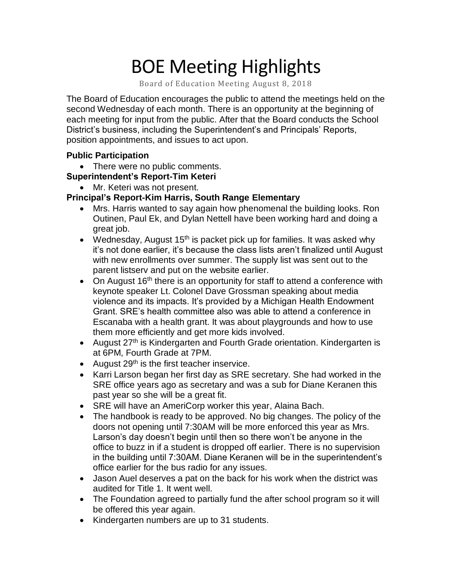# BOE Meeting Highlights

Board of Education Meeting August 8, 2018

 The Board of Education encourages the public to attend the meetings held on the second Wednesday of each month. There is an opportunity at the beginning of each meeting for input from the public. After that the Board conducts the School District's business, including the Superintendent's and Principals' Reports, position appointments, and issues to act upon.

## **Public Participation**

• There were no public comments.

## **Superintendent's Report-Tim Keteri**

• Mr. Keteri was not present.

### **Principal's Report-Kim Harris, South Range Elementary**

- • Mrs. Harris wanted to say again how phenomenal the building looks. Ron Outinen, Paul Ek, and Dylan Nettell have been working hard and doing a great job.
- Wednesday, August 15<sup>th</sup> is packet pick up for families. It was asked why it's not done earlier, it's because the class lists aren't finalized until August with new enrollments over summer. The supply list was sent out to the parent listserv and put on the website earlier.
- On August  $16<sup>th</sup>$  there is an opportunity for staff to attend a conference with keynote speaker Lt. Colonel Dave Grossman speaking about media violence and its impacts. It's provided by a Michigan Health Endowment Grant. SRE's health committee also was able to attend a conference in Escanaba with a health grant. It was about playgrounds and how to use them more efficiently and get more kids involved.
- August 27<sup>th</sup> is Kindergarten and Fourth Grade orientation. Kindergarten is at 6PM, Fourth Grade at 7PM.
- August 29<sup>th</sup> is the first teacher inservice.
- • Karri Larson began her first day as SRE secretary. She had worked in the SRE office years ago as secretary and was a sub for Diane Keranen this past year so she will be a great fit.
- SRE will have an AmeriCorp worker this year, Alaina Bach.
- • The handbook is ready to be approved. No big changes. The policy of the doors not opening until 7:30AM will be more enforced this year as Mrs. Larson's day doesn't begin until then so there won't be anyone in the office to buzz in if a student is dropped off earlier. There is no supervision in the building until 7:30AM. Diane Keranen will be in the superintendent's office earlier for the bus radio for any issues.
- • Jason Auel deserves a pat on the back for his work when the district was audited for Title 1. It went well.
- • The Foundation agreed to partially fund the after school program so it will be offered this year again.
- Kindergarten numbers are up to 31 students.